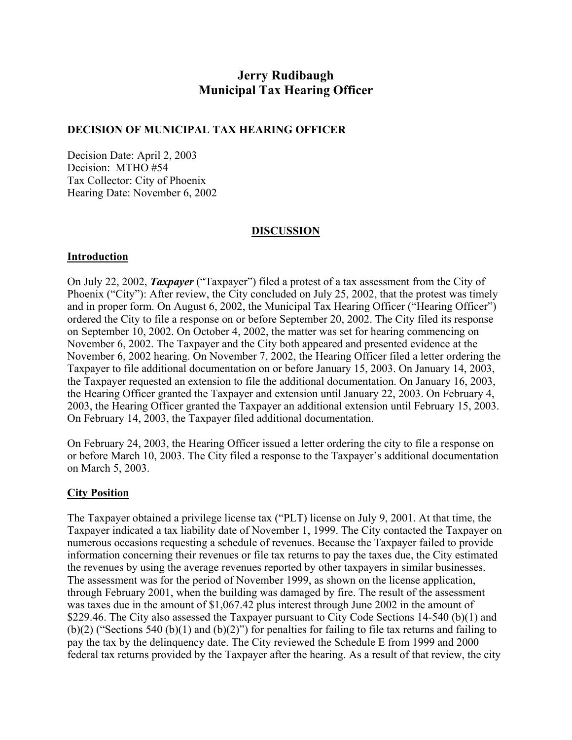# **Jerry Rudibaugh Municipal Tax Hearing Officer**

#### **DECISION OF MUNICIPAL TAX HEARING OFFICER**

Decision Date: April 2, 2003 Decision: MTHO #54 Tax Collector: City of Phoenix Hearing Date: November 6, 2002

#### **DISCUSSION**

#### **Introduction**

On July 22, 2002, *Taxpayer* ("Taxpayer") filed a protest of a tax assessment from the City of Phoenix ("City"): After review, the City concluded on July 25, 2002, that the protest was timely and in proper form. On August 6, 2002, the Municipal Tax Hearing Officer ("Hearing Officer") ordered the City to file a response on or before September 20, 2002. The City filed its response on September 10, 2002. On October 4, 2002, the matter was set for hearing commencing on November 6, 2002. The Taxpayer and the City both appeared and presented evidence at the November 6, 2002 hearing. On November 7, 2002, the Hearing Officer filed a letter ordering the Taxpayer to file additional documentation on or before January 15, 2003. On January 14, 2003, the Taxpayer requested an extension to file the additional documentation. On January 16, 2003, the Hearing Officer granted the Taxpayer and extension until January 22, 2003. On February 4, 2003, the Hearing Officer granted the Taxpayer an additional extension until February 15, 2003. On February 14, 2003, the Taxpayer filed additional documentation.

On February 24, 2003, the Hearing Officer issued a letter ordering the city to file a response on or before March 10, 2003. The City filed a response to the Taxpayer's additional documentation on March 5, 2003.

#### **City Position**

The Taxpayer obtained a privilege license tax ("PLT) license on July 9, 2001. At that time, the Taxpayer indicated a tax liability date of November 1, 1999. The City contacted the Taxpayer on numerous occasions requesting a schedule of revenues. Because the Taxpayer failed to provide information concerning their revenues or file tax returns to pay the taxes due, the City estimated the revenues by using the average revenues reported by other taxpayers in similar businesses. The assessment was for the period of November 1999, as shown on the license application, through February 2001, when the building was damaged by fire. The result of the assessment was taxes due in the amount of \$1,067.42 plus interest through June 2002 in the amount of \$229.46. The City also assessed the Taxpayer pursuant to City Code Sections 14-540 (b)(1) and  $(b)(2)$  ("Sections 540 (b)(1) and (b)(2)") for penalties for failing to file tax returns and failing to pay the tax by the delinquency date. The City reviewed the Schedule E from 1999 and 2000 federal tax returns provided by the Taxpayer after the hearing. As a result of that review, the city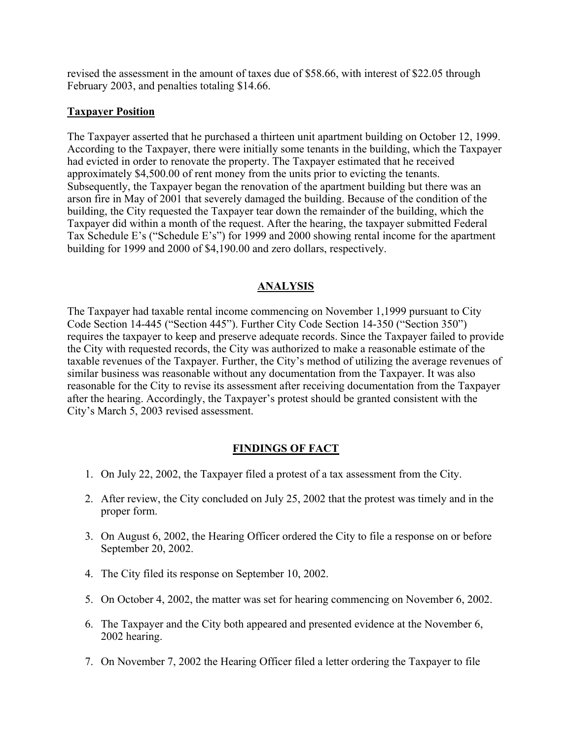revised the assessment in the amount of taxes due of \$58.66, with interest of \$22.05 through February 2003, and penalties totaling \$14.66.

#### **Taxpayer Position**

The Taxpayer asserted that he purchased a thirteen unit apartment building on October 12, 1999. According to the Taxpayer, there were initially some tenants in the building, which the Taxpayer had evicted in order to renovate the property. The Taxpayer estimated that he received approximately \$4,500.00 of rent money from the units prior to evicting the tenants. Subsequently, the Taxpayer began the renovation of the apartment building but there was an arson fire in May of 2001 that severely damaged the building. Because of the condition of the building, the City requested the Taxpayer tear down the remainder of the building, which the Taxpayer did within a month of the request. After the hearing, the taxpayer submitted Federal Tax Schedule E's ("Schedule E's") for 1999 and 2000 showing rental income for the apartment building for 1999 and 2000 of \$4,190.00 and zero dollars, respectively.

## **ANALYSIS**

The Taxpayer had taxable rental income commencing on November 1,1999 pursuant to City Code Section 14-445 ("Section 445"). Further City Code Section 14-350 ("Section 350") requires the taxpayer to keep and preserve adequate records. Since the Taxpayer failed to provide the City with requested records, the City was authorized to make a reasonable estimate of the taxable revenues of the Taxpayer. Further, the City's method of utilizing the average revenues of similar business was reasonable without any documentation from the Taxpayer. It was also reasonable for the City to revise its assessment after receiving documentation from the Taxpayer after the hearing. Accordingly, the Taxpayer's protest should be granted consistent with the City's March 5, 2003 revised assessment.

## **FINDINGS OF FACT**

- 1. On July 22, 2002, the Taxpayer filed a protest of a tax assessment from the City.
- 2. After review, the City concluded on July 25, 2002 that the protest was timely and in the proper form.
- 3. On August 6, 2002, the Hearing Officer ordered the City to file a response on or before September 20, 2002.
- 4. The City filed its response on September 10, 2002.
- 5. On October 4, 2002, the matter was set for hearing commencing on November 6, 2002.
- 6. The Taxpayer and the City both appeared and presented evidence at the November 6, 2002 hearing.
- 7. On November 7, 2002 the Hearing Officer filed a letter ordering the Taxpayer to file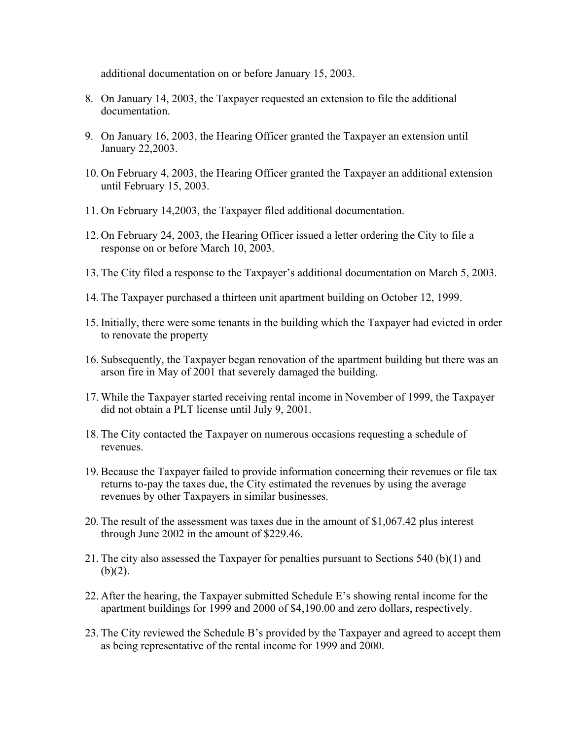additional documentation on or before January 15, 2003.

- 8. On January 14, 2003, the Taxpayer requested an extension to file the additional documentation.
- 9. On January 16, 2003, the Hearing Officer granted the Taxpayer an extension until January 22,2003.
- 10. On February 4, 2003, the Hearing Officer granted the Taxpayer an additional extension until February 15, 2003.
- 11. On February 14,2003, the Taxpayer filed additional documentation.
- 12. On February 24, 2003, the Hearing Officer issued a letter ordering the City to file a response on or before March 10, 2003.
- 13. The City filed a response to the Taxpayer's additional documentation on March 5, 2003.
- 14. The Taxpayer purchased a thirteen unit apartment building on October 12, 1999.
- 15. Initially, there were some tenants in the building which the Taxpayer had evicted in order to renovate the property
- 16. Subsequently, the Taxpayer began renovation of the apartment building but there was an arson fire in May of 2001 that severely damaged the building.
- 17. While the Taxpayer started receiving rental income in November of 1999, the Taxpayer did not obtain a PLT license until July 9, 2001.
- 18. The City contacted the Taxpayer on numerous occasions requesting a schedule of revenues.
- 19. Because the Taxpayer failed to provide information concerning their revenues or file tax returns to-pay the taxes due, the City estimated the revenues by using the average revenues by other Taxpayers in similar businesses.
- 20. The result of the assessment was taxes due in the amount of \$1,067.42 plus interest through June 2002 in the amount of \$229.46.
- 21. The city also assessed the Taxpayer for penalties pursuant to Sections 540 (b)(1) and  $(b)(2)$ .
- 22. After the hearing, the Taxpayer submitted Schedule E's showing rental income for the apartment buildings for 1999 and 2000 of \$4,190.00 and zero dollars, respectively.
- 23. The City reviewed the Schedule B's provided by the Taxpayer and agreed to accept them as being representative of the rental income for 1999 and 2000.